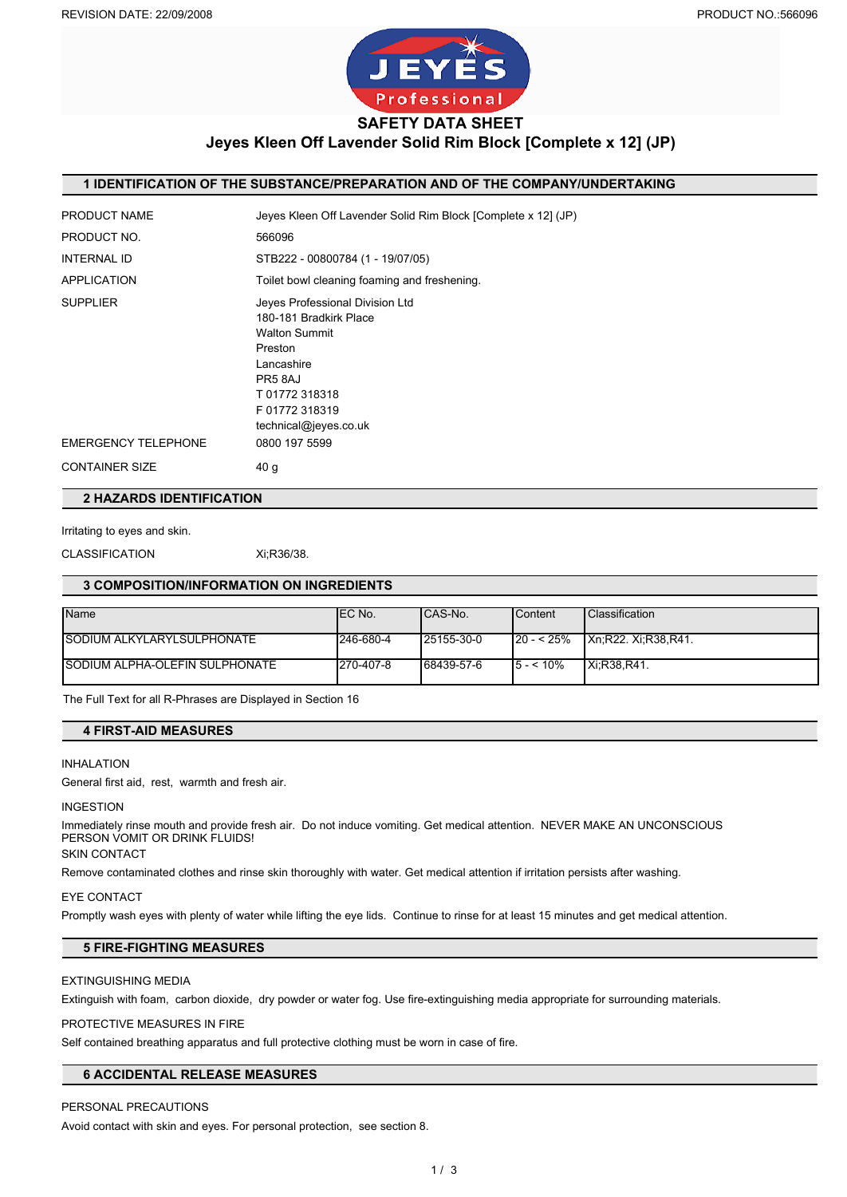

**Jeyes Kleen Off Lavender Solid Rim Block [Complete x 12] (JP)**

### **1 IDENTIFICATION OF THE SUBSTANCE/PREPARATION AND OF THE COMPANY/UNDERTAKING**

| <b>PRODUCT NAME</b>        | Jeyes Kleen Off Lavender Solid Rim Block [Complete x 12] (JP)                                                                                                                   |
|----------------------------|---------------------------------------------------------------------------------------------------------------------------------------------------------------------------------|
| PRODUCT NO.                | 566096                                                                                                                                                                          |
| <b>INTERNAL ID</b>         | STB222 - 00800784 (1 - 19/07/05)                                                                                                                                                |
| <b>APPLICATION</b>         | Toilet bowl cleaning foaming and freshening.                                                                                                                                    |
| <b>SUPPLIER</b>            | Jeyes Professional Division Ltd<br>180-181 Bradkirk Place<br><b>Walton Summit</b><br>Preston<br>Lancashire<br>PR58AJ<br>T01772318318<br>F 01772 318319<br>technical@jeyes.co.uk |
| <b>EMERGENCY TELEPHONE</b> | 0800 197 5599                                                                                                                                                                   |
| <b>CONTAINER SIZE</b>      | 40 g                                                                                                                                                                            |

**2 HAZARDS IDENTIFICATION**

Irritating to eyes and skin.

CLASSIFICATION Xi;R36/38.

#### **3 COMPOSITION/INFORMATION ON INGREDIENTS**

| <b>Name</b>                    | IEC No.   | ICAS-No.   | <b>Content</b> | <b>Classification</b>       |
|--------------------------------|-----------|------------|----------------|-----------------------------|
|                                |           |            |                |                             |
| ISODIUM ALKYLARYLSULPHONATE    | 246-680-4 | 25155-30-0 | $120 - 525%$   | <b>IXn:R22. Xi:R38.R41.</b> |
|                                |           |            |                |                             |
| SODIUM ALPHA-OLEFIN SULPHONATE | 270-407-8 | 68439-57-6 | $15 - 10\%$    | Xi:R38.R41.                 |
|                                |           |            |                |                             |

The Full Text for all R-Phrases are Displayed in Section 16

#### **4 FIRST-AID MEASURES**

#### INHALATION

General first aid, rest, warmth and fresh air.

#### INGESTION

Immediately rinse mouth and provide fresh air. Do not induce vomiting. Get medical attention. NEVER MAKE AN UNCONSCIOUS PERSON VOMIT OR DRINK FLUIDS!

SKIN CONTACT

Remove contaminated clothes and rinse skin thoroughly with water. Get medical attention if irritation persists after washing.

#### EYE CONTACT

Promptly wash eyes with plenty of water while lifting the eye lids. Continue to rinse for at least 15 minutes and get medical attention.

### **5 FIRE-FIGHTING MEASURES**

#### EXTINGUISHING MEDIA

Extinguish with foam, carbon dioxide, dry powder or water fog. Use fire-extinguishing media appropriate for surrounding materials.

#### PROTECTIVE MEASURES IN FIRE

Self contained breathing apparatus and full protective clothing must be worn in case of fire.

### **6 ACCIDENTAL RELEASE MEASURES**

#### PERSONAL PRECAUTIONS

Avoid contact with skin and eyes. For personal protection, see section 8.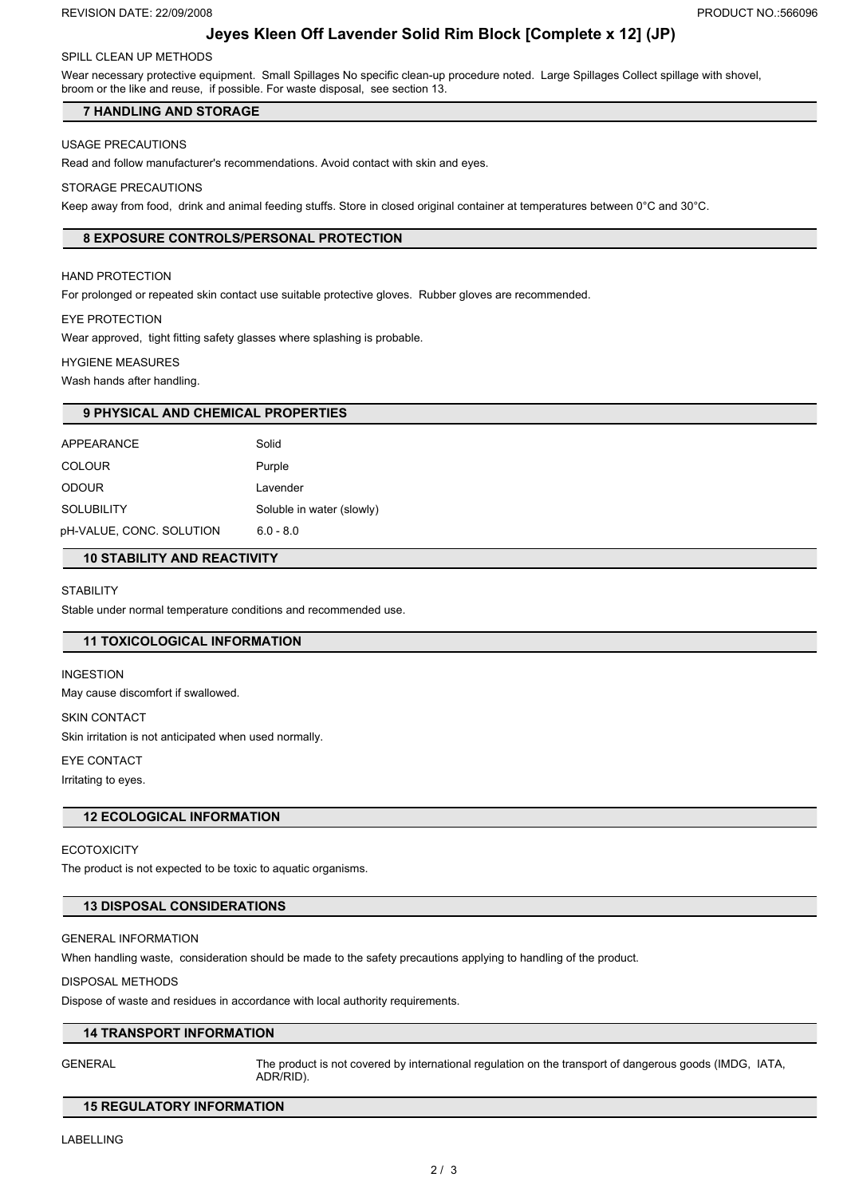# **Jeyes Kleen Off Lavender Solid Rim Block [Complete x 12] (JP)**

# SPILL CLEAN UP METHODS

Wear necessary protective equipment. Small Spillages No specific clean-up procedure noted. Large Spillages Collect spillage with shovel, broom or the like and reuse, if possible. For waste disposal, see section 13.

# **7 HANDLING AND STORAGE**

# USAGE PRECAUTIONS

Read and follow manufacturer's recommendations. Avoid contact with skin and eyes.

# STORAGE PRECAUTIONS

Keep away from food, drink and animal feeding stuffs. Store in closed original container at temperatures between 0°C and 30°C.

# **8 EXPOSURE CONTROLS/PERSONAL PROTECTION**

# HAND PROTECTION

For prolonged or repeated skin contact use suitable protective gloves. Rubber gloves are recommended.

# EYE PROTECTION

Wear approved, tight fitting safety glasses where splashing is probable.

# HYGIENE MEASURES

Wash hands after handling.

| <b>9 PHYSICAL AND CHEMICAL PROPERTIES</b> |                           |  |  |  |
|-------------------------------------------|---------------------------|--|--|--|
| APPEARANCE                                | Solid                     |  |  |  |
| <b>COLOUR</b>                             | Purple                    |  |  |  |
| <b>ODOUR</b>                              | Lavender                  |  |  |  |
| <b>SOLUBILITY</b>                         | Soluble in water (slowly) |  |  |  |
| pH-VALUE, CONC. SOLUTION                  | $6.0 - 8.0$               |  |  |  |
| <b>10 STABILITY AND REACTIVITY</b>        |                           |  |  |  |

### **STABILITY**

Stable under normal temperature conditions and recommended use.

# **11 TOXICOLOGICAL INFORMATION**

# INGESTION

May cause discomfort if swallowed.

SKIN CONTACT

Skin irritation is not anticipated when used normally.

#### EYE CONTACT

Irritating to eyes.

### **12 ECOLOGICAL INFORMATION**

### **ECOTOXICITY**

The product is not expected to be toxic to aquatic organisms.

### **13 DISPOSAL CONSIDERATIONS**

### GENERAL INFORMATION

When handling waste, consideration should be made to the safety precautions applying to handling of the product.

#### DISPOSAL METHODS

Dispose of waste and residues in accordance with local authority requirements.

### **14 TRANSPORT INFORMATION**

GENERAL The product is not covered by international regulation on the transport of dangerous goods (IMDG, IATA, ADR/RID).

### **15 REGULATORY INFORMATION**

LABELLING